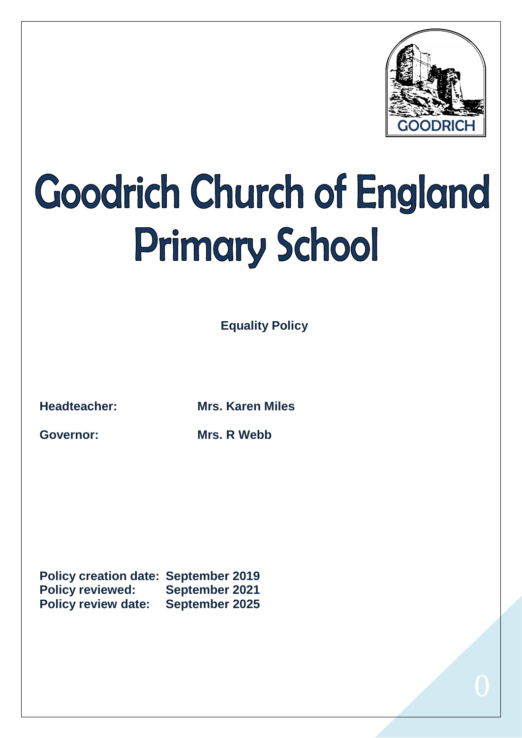

## Goodrich Church of England **Primary School**

**Equality Policy** 

**Headteacher: Mrs. Karen Miles**

**Governor: Mrs. R Webb**

**Policy creation date: September 2019 Policy reviewed: September 2021 Policy review date: September 2025**